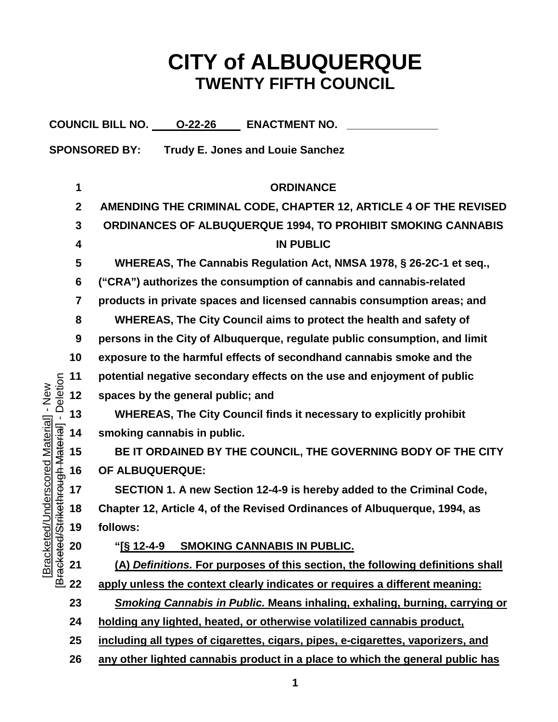## **CITY of ALBUQUERQUE TWENTY FIFTH COUNCIL**

| COUNCIL BILL NO. 0-22-26<br><b>ENACTMENT NO.</b>                                                                |              |                                                                                   |
|-----------------------------------------------------------------------------------------------------------------|--------------|-----------------------------------------------------------------------------------|
| <b>SPONSORED BY:</b><br><b>Trudy E. Jones and Louie Sanchez</b>                                                 |              |                                                                                   |
|                                                                                                                 |              |                                                                                   |
| - Deletion<br>Jnderscored Material] - New<br>i <del>kethrough Material</del> ]<br>[Bracketed/l<br>Bracketed/Str | 1            | <b>ORDINANCE</b>                                                                  |
|                                                                                                                 | $\mathbf{2}$ | AMENDING THE CRIMINAL CODE, CHAPTER 12, ARTICLE 4 OF THE REVISED                  |
|                                                                                                                 | 3            | ORDINANCES OF ALBUQUERQUE 1994, TO PROHIBIT SMOKING CANNABIS                      |
|                                                                                                                 | 4            | <b>IN PUBLIC</b>                                                                  |
|                                                                                                                 | 5            | WHEREAS, The Cannabis Regulation Act, NMSA 1978, § 26-2C-1 et seq.,               |
|                                                                                                                 | 6            | ("CRA") authorizes the consumption of cannabis and cannabis-related               |
|                                                                                                                 | 7            | products in private spaces and licensed cannabis consumption areas; and           |
|                                                                                                                 | 8            | WHEREAS, The City Council aims to protect the health and safety of                |
|                                                                                                                 | 9            | persons in the City of Albuquerque, regulate public consumption, and limit        |
|                                                                                                                 | 10           | exposure to the harmful effects of secondhand cannabis smoke and the              |
|                                                                                                                 | 11           | potential negative secondary effects on the use and enjoyment of public           |
|                                                                                                                 | 12           | spaces by the general public; and                                                 |
|                                                                                                                 | 13           | WHEREAS, The City Council finds it necessary to explicitly prohibit               |
|                                                                                                                 | 14           | smoking cannabis in public.                                                       |
|                                                                                                                 | 15           | BE IT ORDAINED BY THE COUNCIL, THE GOVERNING BODY OF THE CITY                     |
|                                                                                                                 | 16           | OF ALBUQUERQUE:                                                                   |
|                                                                                                                 | 17           | SECTION 1. A new Section 12-4-9 is hereby added to the Criminal Code,             |
|                                                                                                                 | 18           | Chapter 12, Article 4, of the Revised Ordinances of Albuquerque, 1994, as         |
|                                                                                                                 | 19           | follows:                                                                          |
|                                                                                                                 | 20           | <b>SMOKING CANNABIS IN PUBLIC.</b>                                                |
|                                                                                                                 | 21           | (A) Definitions. For purposes of this section, the following definitions shall    |
|                                                                                                                 | 22           | apply unless the context clearly indicates or requires a different meaning:       |
|                                                                                                                 | 23           | <b>Smoking Cannabis in Public. Means inhaling, exhaling, burning, carrying or</b> |
|                                                                                                                 | 24           | holding any lighted, heated, or otherwise volatilized cannabis product,           |
|                                                                                                                 | 25           | including all types of cigarettes, cigars, pipes, e-cigarettes, vaporizers, and   |
|                                                                                                                 | 26           | any other lighted cannabis product in a place to which the general public has     |